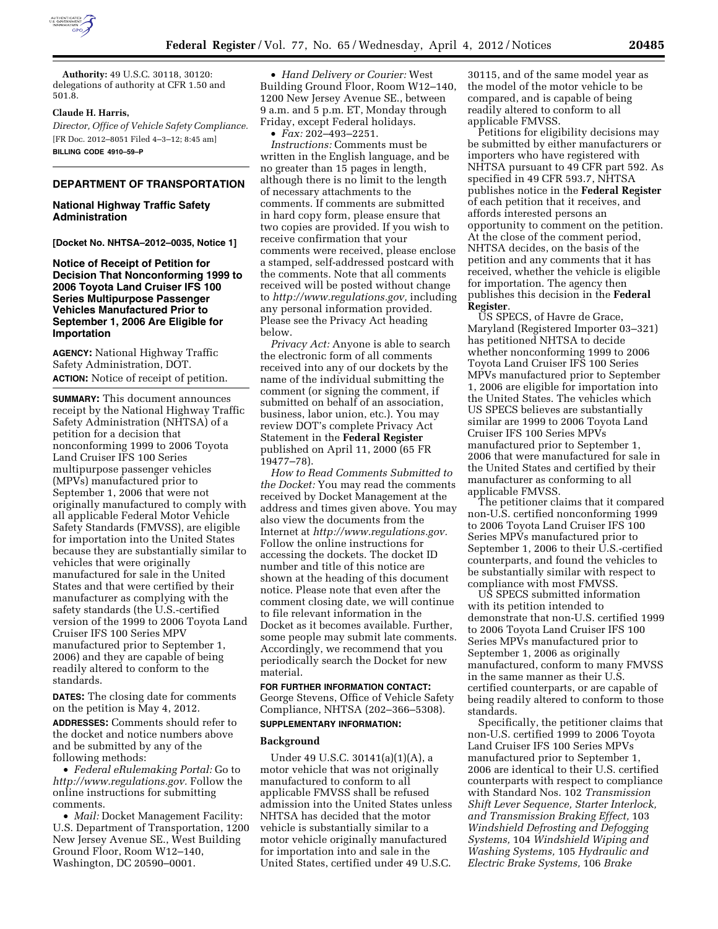

**Authority:** 49 U.S.C. 30118, 30120: delegations of authority at CFR 1.50 and 501.8.

## **Claude H. Harris,**

*Director, Office of Vehicle Safety Compliance.*  [FR Doc. 2012–8051 Filed 4–3–12; 8:45 am] **BILLING CODE 4910–59–P** 

#### **DEPARTMENT OF TRANSPORTATION**

## **National Highway Traffic Safety Administration**

**[Docket No. NHTSA–2012–0035, Notice 1]** 

## **Notice of Receipt of Petition for Decision That Nonconforming 1999 to 2006 Toyota Land Cruiser IFS 100 Series Multipurpose Passenger Vehicles Manufactured Prior to September 1, 2006 Are Eligible for Importation**

**AGENCY:** National Highway Traffic Safety Administration, DOT. **ACTION:** Notice of receipt of petition.

**SUMMARY:** This document announces receipt by the National Highway Traffic Safety Administration (NHTSA) of a petition for a decision that nonconforming 1999 to 2006 Toyota Land Cruiser IFS 100 Series multipurpose passenger vehicles (MPVs) manufactured prior to September 1, 2006 that were not originally manufactured to comply with all applicable Federal Motor Vehicle Safety Standards (FMVSS), are eligible for importation into the United States because they are substantially similar to vehicles that were originally manufactured for sale in the United States and that were certified by their manufacturer as complying with the safety standards (the U.S.-certified version of the 1999 to 2006 Toyota Land Cruiser IFS 100 Series MPV manufactured prior to September 1, 2006) and they are capable of being readily altered to conform to the standards.

**DATES:** The closing date for comments on the petition is May 4, 2012.

**ADDRESSES:** Comments should refer to the docket and notice numbers above and be submitted by any of the following methods:

• *Federal eRulemaking Portal:* Go to *[http://www.regulations.gov.](http://www.regulations.gov)* Follow the online instructions for submitting comments.

• *Mail:* Docket Management Facility: U.S. Department of Transportation, 1200 New Jersey Avenue SE., West Building Ground Floor, Room W12–140, Washington, DC 20590–0001.

• *Hand Delivery or Courier:* West Building Ground Floor, Room W12–140, 1200 New Jersey Avenue SE., between 9 a.m. and 5 p.m. ET, Monday through Friday, except Federal holidays.

• *Fax:* 202–493–2251. *Instructions:* Comments must be written in the English language, and be no greater than 15 pages in length, although there is no limit to the length of necessary attachments to the comments. If comments are submitted in hard copy form, please ensure that two copies are provided. If you wish to receive confirmation that your comments were received, please enclose a stamped, self-addressed postcard with the comments. Note that all comments received will be posted without change to *[http://www.regulations.gov,](http://www.regulations.gov)* including any personal information provided. Please see the Privacy Act heading below.

*Privacy Act:* Anyone is able to search the electronic form of all comments received into any of our dockets by the name of the individual submitting the comment (or signing the comment, if submitted on behalf of an association, business, labor union, etc.). You may review DOT's complete Privacy Act Statement in the **Federal Register**  published on April 11, 2000 (65 FR 19477–78).

*How to Read Comments Submitted to the Docket:* You may read the comments received by Docket Management at the address and times given above. You may also view the documents from the Internet at *[http://www.regulations.gov.](http://www.regulations.gov)*  Follow the online instructions for accessing the dockets. The docket ID number and title of this notice are shown at the heading of this document notice. Please note that even after the comment closing date, we will continue to file relevant information in the Docket as it becomes available. Further, some people may submit late comments. Accordingly, we recommend that you periodically search the Docket for new material.

**FOR FURTHER INFORMATION CONTACT:**  George Stevens, Office of Vehicle Safety Compliance, NHTSA (202–366–5308). **SUPPLEMENTARY INFORMATION:** 

# **Background**

Under 49 U.S.C. 30141(a)(1)(A), a motor vehicle that was not originally manufactured to conform to all applicable FMVSS shall be refused admission into the United States unless NHTSA has decided that the motor vehicle is substantially similar to a motor vehicle originally manufactured for importation into and sale in the United States, certified under 49 U.S.C.

30115, and of the same model year as the model of the motor vehicle to be compared, and is capable of being readily altered to conform to all applicable FMVSS.

Petitions for eligibility decisions may be submitted by either manufacturers or importers who have registered with NHTSA pursuant to 49 CFR part 592. As specified in 49 CFR 593.7, NHTSA publishes notice in the **Federal Register**  of each petition that it receives, and affords interested persons an opportunity to comment on the petition. At the close of the comment period, NHTSA decides, on the basis of the petition and any comments that it has received, whether the vehicle is eligible for importation. The agency then publishes this decision in the **Federal Register**.

US SPECS, of Havre de Grace, Maryland (Registered Importer 03–321) has petitioned NHTSA to decide whether nonconforming 1999 to 2006 Toyota Land Cruiser IFS 100 Series MPVs manufactured prior to September 1, 2006 are eligible for importation into the United States. The vehicles which US SPECS believes are substantially similar are 1999 to 2006 Toyota Land Cruiser IFS 100 Series MPVs manufactured prior to September 1, 2006 that were manufactured for sale in the United States and certified by their manufacturer as conforming to all applicable FMVSS.

The petitioner claims that it compared non-U.S. certified nonconforming 1999 to 2006 Toyota Land Cruiser IFS 100 Series MPVs manufactured prior to September 1, 2006 to their U.S.-certified counterparts, and found the vehicles to be substantially similar with respect to compliance with most FMVSS.

US SPECS submitted information with its petition intended to demonstrate that non-U.S. certified 1999 to 2006 Toyota Land Cruiser IFS 100 Series MPVs manufactured prior to September 1, 2006 as originally manufactured, conform to many FMVSS in the same manner as their U.S. certified counterparts, or are capable of being readily altered to conform to those standards.

Specifically, the petitioner claims that non-U.S. certified 1999 to 2006 Toyota Land Cruiser IFS 100 Series MPVs manufactured prior to September 1, 2006 are identical to their U.S. certified counterparts with respect to compliance with Standard Nos. 102 *Transmission Shift Lever Sequence, Starter Interlock, and Transmission Braking Effect,* 103 *Windshield Defrosting and Defogging Systems,* 104 *Windshield Wiping and Washing Systems,* 105 *Hydraulic and Electric Brake Systems,* 106 *Brake*